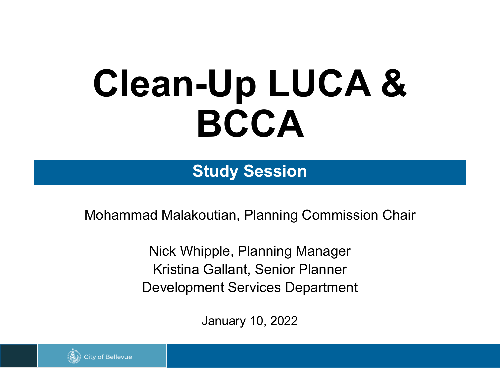# **Clean-Up LUCA & BCCA**

**Study Session**

Mohammad Malakoutian, Planning Commission Chair

Nick Whipple, Planning Manager Kristina Gallant, Senior Planner Development Services Department

January 10, 2022

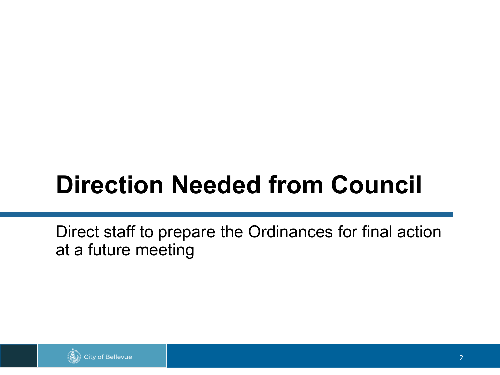#### **Direction Needed from Council**

Direct staff to prepare the Ordinances for final action at a future meeting

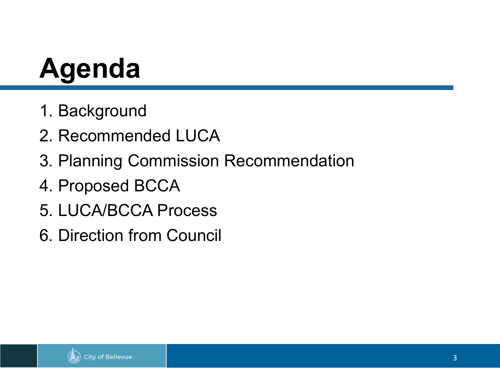## **Agenda**

- 1. Background
- 2. Recommended LUCA
- 3. Planning Commission Recommendation
- 4. Proposed BCCA
- 5. LUCA/BCCA Process
- 6. Direction from Council

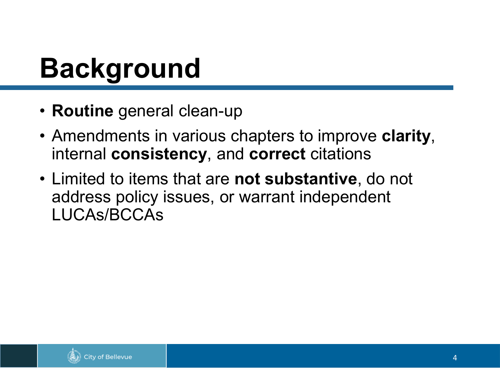#### **Background**

- **Routine** general clean-up
- Amendments in various chapters to improve **clarity**, internal **consistency**, and **correct** citations
- Limited to items that are **not substantive**, do not address policy issues, or warrant independent LUCAs/BCCAs

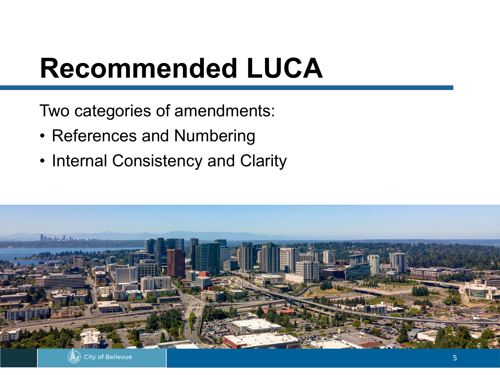#### **Recommended LUCA**

Two categories of amendments:

- References and Numbering
- Internal Consistency and Clarity

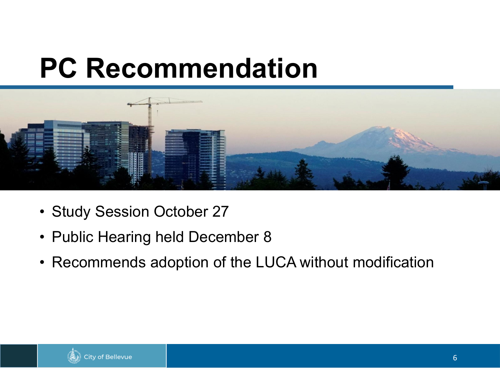#### **PC Recommendation**



- Study Session October 27
- Public Hearing held December 8
- Recommends adoption of the LUCA without modification

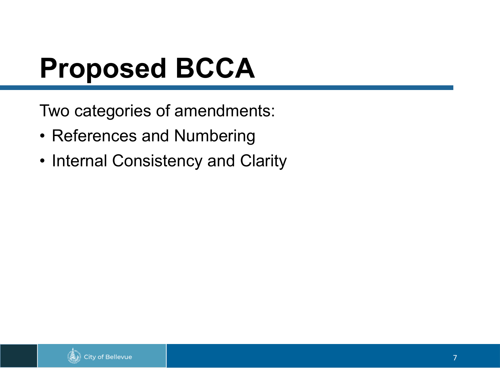### **Proposed BCCA**

Two categories of amendments:

- References and Numbering
- Internal Consistency and Clarity

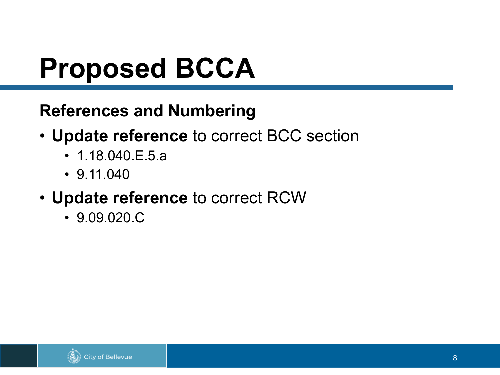### **Proposed BCCA**

#### **References and Numbering**

- **Update reference** to correct BCC section
	- 1.18.040.E.5.a
	- 9.11.040
- **Update reference** to correct RCW
	- 9.09.020.C

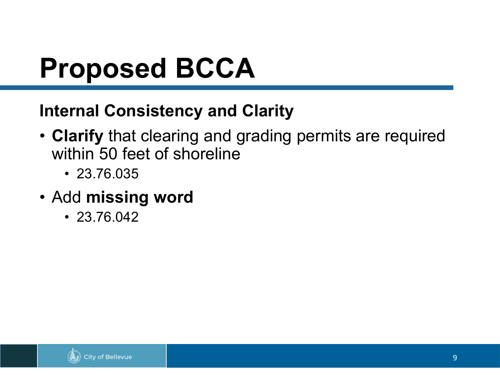### **Proposed BCCA**

#### **Internal Consistency and Clarity**

- **Clarify** that clearing and grading permits are required within 50 feet of shoreline
	- 23.76.035
- Add **missing word**
	- 23.76.042

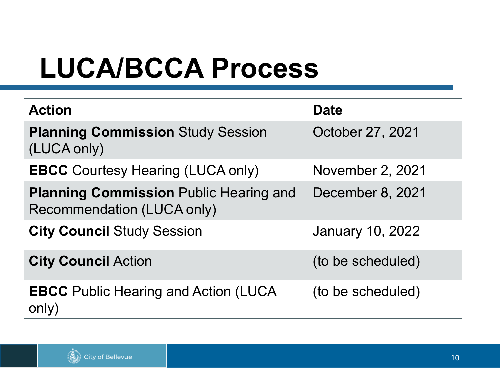### **LUCA/BCCA Process**

| <b>Action</b>                                                                      | <b>Date</b>             |
|------------------------------------------------------------------------------------|-------------------------|
| <b>Planning Commission Study Session</b><br>(LUCA only)                            | October 27, 2021        |
| <b>EBCC</b> Courtesy Hearing (LUCA only)                                           | November 2, 2021        |
| <b>Planning Commission Public Hearing and</b><br><b>Recommendation (LUCA only)</b> | December 8, 2021        |
| <b>City Council Study Session</b>                                                  | <b>January 10, 2022</b> |
| <b>City Council Action</b>                                                         | (to be scheduled)       |
| <b>EBCC</b> Public Hearing and Action (LUCA<br>only)                               | (to be scheduled)       |